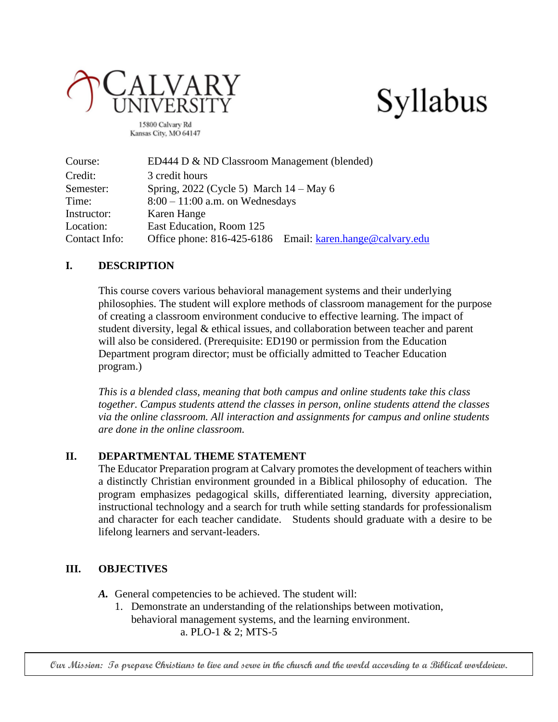



15800 Calvary Rd Kansas City, MO 64147

| Course:       | ED444 D & ND Classroom Management (blended)               |  |  |
|---------------|-----------------------------------------------------------|--|--|
| Credit:       | 3 credit hours                                            |  |  |
| Semester:     | Spring, $2022$ (Cycle 5) March $14 -$ May 6               |  |  |
| Time:         | $8:00 - 11:00$ a.m. on Wednesdays                         |  |  |
| Instructor:   | Karen Hange                                               |  |  |
| Location:     | East Education, Room 125                                  |  |  |
| Contact Info: | Office phone: 816-425-6186 Email: karen.hange@calvary.edu |  |  |

#### **I. DESCRIPTION**

This course covers various behavioral management systems and their underlying philosophies. The student will explore methods of classroom management for the purpose of creating a classroom environment conducive to effective learning. The impact of student diversity, legal & ethical issues, and collaboration between teacher and parent will also be considered. (Prerequisite: ED190 or permission from the Education Department program director; must be officially admitted to Teacher Education program.)

*This is a blended class, meaning that both campus and online students take this class together. Campus students attend the classes in person, online students attend the classes via the online classroom. All interaction and assignments for campus and online students are done in the online classroom.* 

#### **II. DEPARTMENTAL THEME STATEMENT**

The Educator Preparation program at Calvary promotes the development of teachers within a distinctly Christian environment grounded in a Biblical philosophy of education. The program emphasizes pedagogical skills, differentiated learning, diversity appreciation, instructional technology and a search for truth while setting standards for professionalism and character for each teacher candidate. Students should graduate with a desire to be lifelong learners and servant-leaders.

#### **III. OBJECTIVES**

- *A.* General competencies to be achieved. The student will:
	- 1. Demonstrate an understanding of the relationships between motivation, behavioral management systems, and the learning environment. a. PLO-1 & 2; MTS-5

**Our Mission: To prepare Christians to live and serve in the church and the world according to a Biblical worldview.**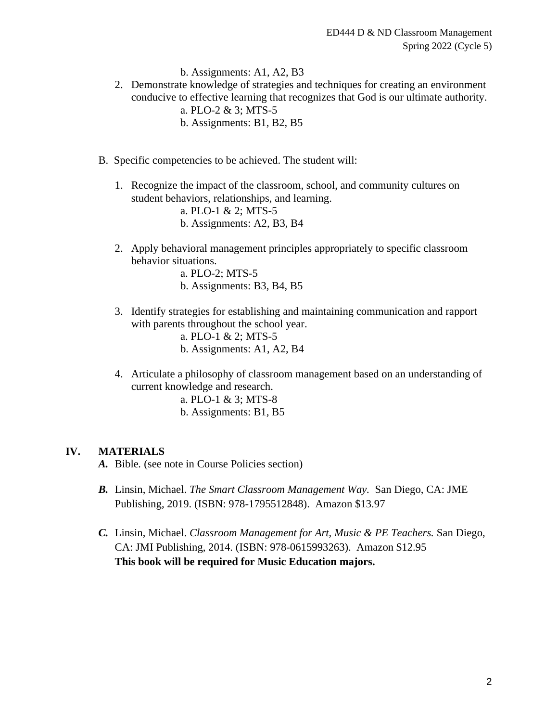b. Assignments: A1, A2, B3

- 2. Demonstrate knowledge of strategies and techniques for creating an environment conducive to effective learning that recognizes that God is our ultimate authority. a. PLO-2 & 3; MTS-5 b. Assignments: B1, B2, B5
- B. Specific competencies to be achieved. The student will:
	- 1. Recognize the impact of the classroom, school, and community cultures on student behaviors, relationships, and learning.

a. PLO-1 & 2; MTS-5 b. Assignments: A2, B3, B4

2. Apply behavioral management principles appropriately to specific classroom behavior situations.

a. PLO-2; MTS-5 b. Assignments: B3, B4, B5

3. Identify strategies for establishing and maintaining communication and rapport with parents throughout the school year.

> a. PLO-1 & 2; MTS-5 b. Assignments: A1, A2, B4

4. Articulate a philosophy of classroom management based on an understanding of current knowledge and research.

a. PLO-1 & 3; MTS-8 b. Assignments: B1, B5

#### **IV. MATERIALS**

- *A.* Bible*.* (see note in Course Policies section)
- *B.* Linsin, Michael. *The Smart Classroom Management Way.* San Diego, CA: JME Publishing, 2019. (ISBN: 978-1795512848). Amazon \$13.97
- *C.* Linsin, Michael. *Classroom Management for Art, Music & PE Teachers.* San Diego, CA: JMI Publishing, 2014. (ISBN: 978-0615993263). Amazon \$12.95 **This book will be required for Music Education majors.**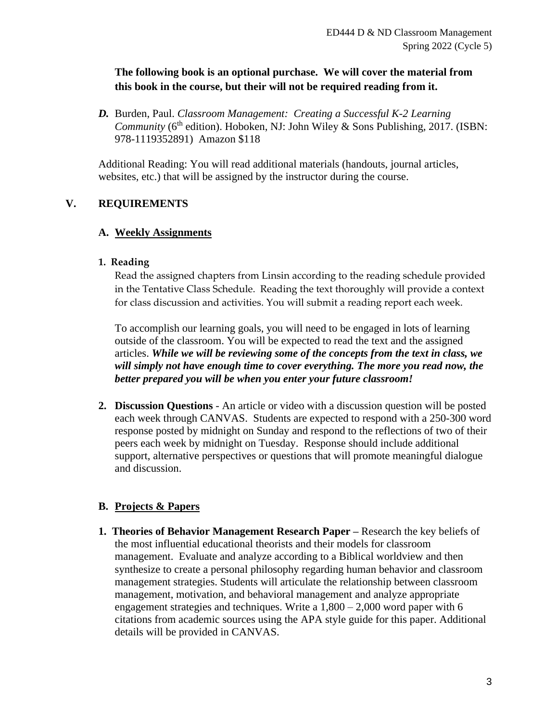### **The following book is an optional purchase. We will cover the material from this book in the course, but their will not be required reading from it.**

*D.* Burden, Paul. *Classroom Management: Creating a Successful K-2 Learning Community* (6<sup>th</sup> edition). Hoboken, NJ: John Wiley & Sons Publishing, 2017. (ISBN: 978-1119352891) Amazon \$118

Additional Reading: You will read additional materials (handouts, journal articles, websites, etc.) that will be assigned by the instructor during the course.

## **V. REQUIREMENTS**

#### **A. Weekly Assignments**

#### **1. Reading**

Read the assigned chapters from Linsin according to the reading schedule provided in the Tentative Class Schedule. Reading the text thoroughly will provide a context for class discussion and activities. You will submit a reading report each week.

To accomplish our learning goals, you will need to be engaged in lots of learning outside of the classroom. You will be expected to read the text and the assigned articles. *While we will be reviewing some of the concepts from the text in class, we will simply not have enough time to cover everything. The more you read now, the better prepared you will be when you enter your future classroom!*

**2. Discussion Questions** - An article or video with a discussion question will be posted each week through CANVAS. Students are expected to respond with a 250-300 word response posted by midnight on Sunday and respond to the reflections of two of their peers each week by midnight on Tuesday. Response should include additional support, alternative perspectives or questions that will promote meaningful dialogue and discussion.

#### **B. Projects & Papers**

**1. Theories of Behavior Management Research Paper –** Research the key beliefs of the most influential educational theorists and their models for classroom management. Evaluate and analyze according to a Biblical worldview and then synthesize to create a personal philosophy regarding human behavior and classroom management strategies. Students will articulate the relationship between classroom management, motivation, and behavioral management and analyze appropriate engagement strategies and techniques. Write a  $1,800 - 2,000$  word paper with 6 citations from academic sources using the APA style guide for this paper. Additional details will be provided in CANVAS.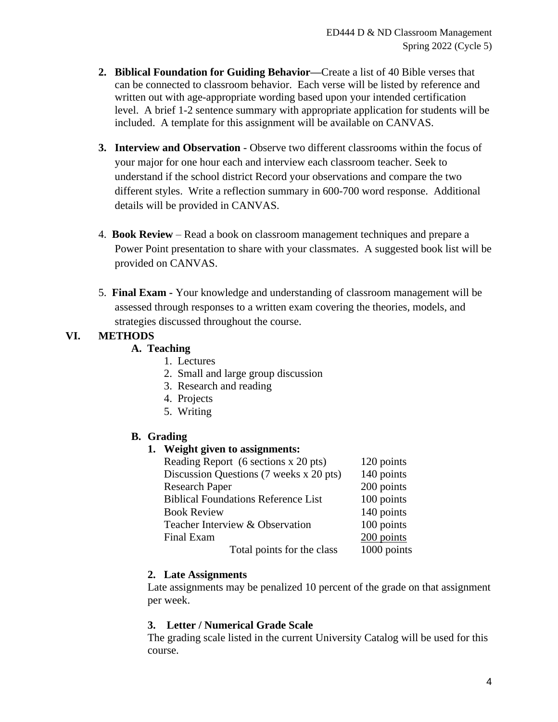- **2. Biblical Foundation for Guiding Behavior—**Create a list of 40 Bible verses that can be connected to classroom behavior. Each verse will be listed by reference and written out with age-appropriate wording based upon your intended certification level. A brief 1-2 sentence summary with appropriate application for students will be included. A template for this assignment will be available on CANVAS.
- **3. Interview and Observation** Observe two different classrooms within the focus of your major for one hour each and interview each classroom teacher. Seek to understand if the school district Record your observations and compare the two different styles. Write a reflection summary in 600-700 word response. Additional details will be provided in CANVAS.
- 4. **Book Review** Read a book on classroom management techniques and prepare a Power Point presentation to share with your classmates. A suggested book list will be provided on CANVAS.
- 5. **Final Exam -** Your knowledge and understanding of classroom management will be assessed through responses to a written exam covering the theories, models, and strategies discussed throughout the course.

# **VI. METHODS**

## **A. Teaching**

- 1. Lectures
- 2. Small and large group discussion
- 3. Research and reading
- 4. Projects
- 5. Writing

## **B. Grading**

#### **1. Weight given to assignments:**

| Reading Report (6 sections x 20 pts)       | 120 points  |
|--------------------------------------------|-------------|
| Discussion Questions (7 weeks x 20 pts)    | 140 points  |
| <b>Research Paper</b>                      | 200 points  |
| <b>Biblical Foundations Reference List</b> | 100 points  |
| <b>Book Review</b>                         | 140 points  |
| Teacher Interview & Observation            | 100 points  |
| Final Exam                                 | 200 points  |
| Total points for the class                 | 1000 points |

#### **2. Late Assignments**

Late assignments may be penalized 10 percent of the grade on that assignment per week.

#### **3. Letter / Numerical Grade Scale**

The grading scale listed in the current University Catalog will be used for this course.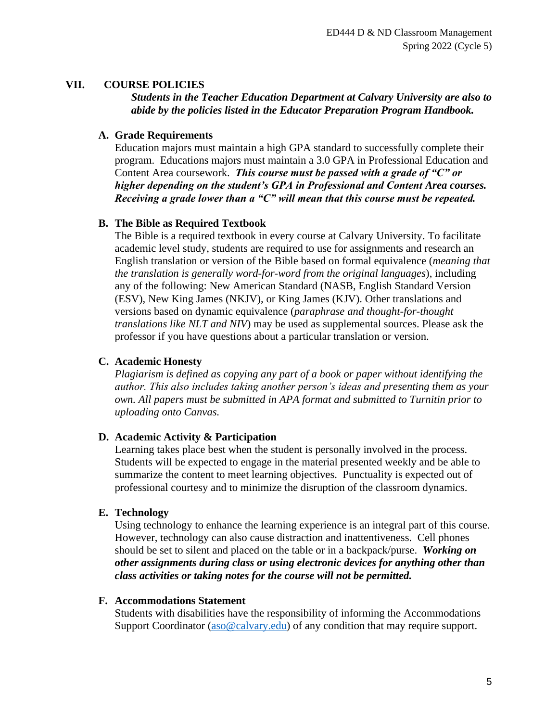#### **VII. COURSE POLICIES**

*Students in the Teacher Education Department at Calvary University are also to abide by the policies listed in the Educator Preparation Program Handbook.* 

#### **A. Grade Requirements**

Education majors must maintain a high GPA standard to successfully complete their program. Educations majors must maintain a 3.0 GPA in Professional Education and Content Area coursework. *This course must be passed with a grade of "C" or higher depending on the student's GPA in Professional and Content Area courses. Receiving a grade lower than a "C" will mean that this course must be repeated.*

#### **B. The Bible as Required Textbook**

The Bible is a required textbook in every course at Calvary University. To facilitate academic level study, students are required to use for assignments and research an English translation or version of the Bible based on formal equivalence (*meaning that the translation is generally word-for-word from the original languages*), including any of the following: New American Standard (NASB, English Standard Version (ESV), New King James (NKJV), or King James (KJV). Other translations and versions based on dynamic equivalence (*paraphrase and thought-for-thought translations like NLT and NIV*) may be used as supplemental sources. Please ask the professor if you have questions about a particular translation or version.

### **C. Academic Honesty**

*Plagiarism is defined as copying any part of a book or paper without identifying the author. This also includes taking another person's ideas and presenting them as your own. All papers must be submitted in APA format and submitted to Turnitin prior to uploading onto Canvas.*

#### **D. Academic Activity & Participation**

Learning takes place best when the student is personally involved in the process. Students will be expected to engage in the material presented weekly and be able to summarize the content to meet learning objectives. Punctuality is expected out of professional courtesy and to minimize the disruption of the classroom dynamics.

#### **E. Technology**

Using technology to enhance the learning experience is an integral part of this course. However, technology can also cause distraction and inattentiveness. Cell phones should be set to silent and placed on the table or in a backpack/purse. *Working on other assignments during class or using electronic devices for anything other than class activities or taking notes for the course will not be permitted.*

#### **F. Accommodations Statement**

Students with disabilities have the responsibility of informing the Accommodations Support Coordinator [\(aso@calvary.edu\)](mailto:aso@calvary.edu) of any condition that may require support.